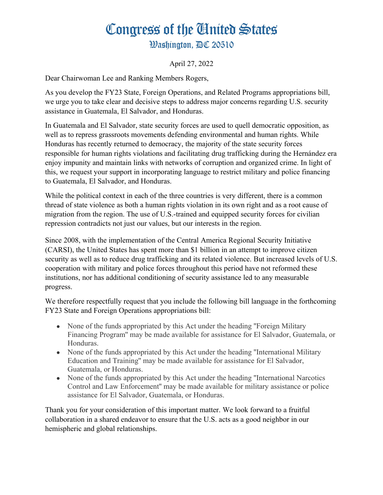## Congress of the Ginited States

**Washington. AC 20510** 

April 27, 2022

Dear Chairwoman Lee and Ranking Members Rogers,

As you develop the FY23 State, Foreign Operations, and Related Programs appropriations bill, we urge you to take clear and decisive steps to address major concerns regarding U.S. security assistance in Guatemala, El Salvador, and Honduras.

In Guatemala and El Salvador, state security forces are used to quell democratic opposition, as well as to repress grassroots movements defending environmental and human rights. While Honduras has recently returned to democracy, the majority of the state security forces responsible for human rights violations and facilitating drug trafficking during the Hernández era enjoy impunity and maintain links with networks of corruption and organized crime. In light of this, we request your support in incorporating language to restrict military and police financing to Guatemala, El Salvador, and Honduras.

While the political context in each of the three countries is very different, there is a common thread of state violence as both a human rights violation in its own right and as a root cause of migration from the region. The use of U.S.-trained and equipped security forces for civilian repression contradicts not just our values, but our interests in the region.

Since 2008, with the implementation of the Central America Regional Security Initiative (CARSI), the United States has spent more than \$1 billion in an attempt to improve citizen security as well as to reduce drug trafficking and its related violence. But increased levels of U.S. cooperation with military and police forces throughout this period have not reformed these institutions, nor has additional conditioning of security assistance led to any measurable progress.

We therefore respectfully request that you include the following bill language in the forthcoming FY23 State and Foreign Operations appropriations bill:

- None of the funds appropriated by this Act under the heading "Foreign Military" Financing Program'' may be made available for assistance for El Salvador, Guatemala, or Honduras.
- None of the funds appropriated by this Act under the heading "International Military Education and Training'' may be made available for assistance for El Salvador, Guatemala, or Honduras.
- None of the funds appropriated by this Act under the heading "International Narcotics" Control and Law Enforcement'' may be made available for military assistance or police assistance for El Salvador, Guatemala, or Honduras.

Thank you for your consideration of this important matter. We look forward to a fruitful collaboration in a shared endeavor to ensure that the U.S. acts as a good neighbor in our hemispheric and global relationships.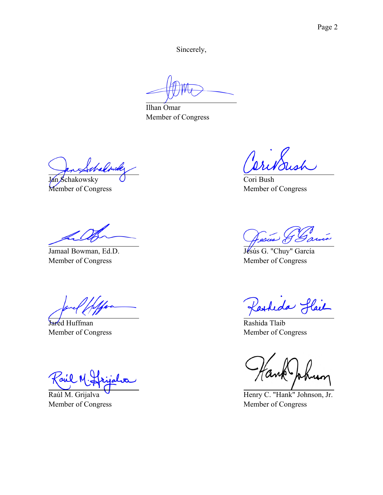Sincerely,

Ilhan Omar Member of Congress

habousk Jan Schakowsky

Member of Congress

Jamaal Bowman, Ed.D. Member of Congress

Jared Huffman Member of Congress

Zil

Raúl M. Grijalva Member of Congress

ish

Cori Bush Member of Congress

Jesús G. "Chuy" García Member of Congress

Parkeda Hail

Rashida Tlaib Member of Congress

Henry C. "Hank" Johnson, Jr. Member of Congress